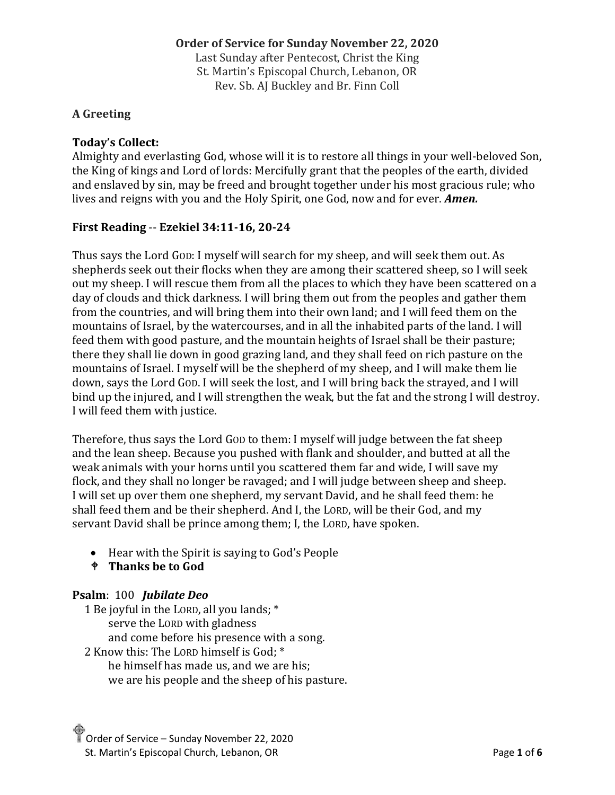### **Order of Service for Sunday November 22, 2020**

Last Sunday after Pentecost, Christ the King St. Martin's Episcopal Church, Lebanon, OR Rev. Sb. AJ Buckley and Br. Finn Coll

## **A Greeting**

## **Today's Collect:**

Almighty and everlasting God, whose will it is to restore all things in your well-beloved Son, the King of kings and Lord of lords: Mercifully grant that the peoples of the earth, divided and enslaved by sin, may be freed and brought together under his most gracious rule; who lives and reigns with you and the Holy Spirit, one God, now and for ever. *Amen.*

## **First Reading** -- **Ezekiel 34:11-16, 20-24**

Thus says the Lord GOD: I myself will search for my sheep, and will seek them out. As shepherds seek out their flocks when they are among their scattered sheep, so I will seek out my sheep. I will rescue them from all the places to which they have been scattered on a day of clouds and thick darkness. I will bring them out from the peoples and gather them from the countries, and will bring them into their own land; and I will feed them on the mountains of Israel, by the watercourses, and in all the inhabited parts of the land. I will feed them with good pasture, and the mountain heights of Israel shall be their pasture; there they shall lie down in good grazing land, and they shall feed on rich pasture on the mountains of Israel. I myself will be the shepherd of my sheep, and I will make them lie down, says the Lord GOD. I will seek the lost, and I will bring back the strayed, and I will bind up the injured, and I will strengthen the weak, but the fat and the strong I will destroy. I will feed them with justice.

Therefore, thus says the Lord GOD to them: I myself will judge between the fat sheep and the lean sheep. Because you pushed with flank and shoulder, and butted at all the weak animals with your horns until you scattered them far and wide, I will save my flock, and they shall no longer be ravaged; and I will judge between sheep and sheep. I will set up over them one shepherd, my servant David, and he shall feed them: he shall feed them and be their shepherd. And I, the LORD, will be their God, and my servant David shall be prince among them; I, the LORD, have spoken.

- Hear with the Spirit is saying to God's People
- **Thanks be to God**

## **Psalm**: 100 *Jubilate Deo*

- 1 Be joyful in the LORD, all you lands; \* serve the LORD with gladness and come before his presence with a song.
- 2 Know this: The LORD himself is God; \* he himself has made us, and we are his; we are his people and the sheep of his pasture.

Order of Service – Sunday November 22, 2020 St. Martin's Episcopal Church, Lebanon, OR **Page 1** of 6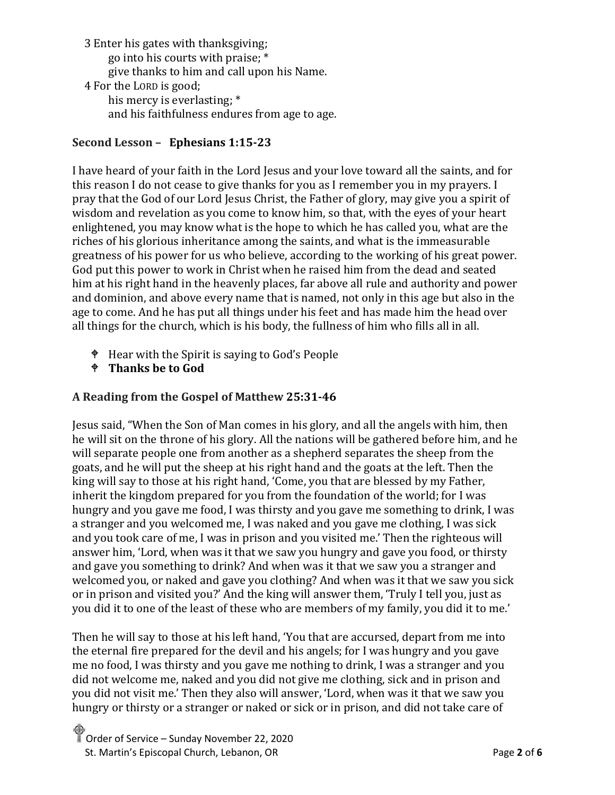3 Enter his gates with thanksgiving; go into his courts with praise; \* give thanks to him and call upon his Name. 4 For the LORD is good; his mercy is everlasting; \* and his faithfulness endures from age to age.

# **Second Lesson – Ephesians 1:15-23**

I have heard of your faith in the Lord Jesus and your love toward all the saints, and for this reason I do not cease to give thanks for you as I remember you in my prayers. I pray that the God of our Lord Jesus Christ, the Father of glory, may give you a spirit of wisdom and revelation as you come to know him, so that, with the eyes of your heart enlightened, you may know what is the hope to which he has called you, what are the riches of his glorious inheritance among the saints, and what is the immeasurable greatness of his power for us who believe, according to the working of his great power. God put this power to work in Christ when he raised him from the dead and seated him at his right hand in the heavenly places, far above all rule and authority and power and dominion, and above every name that is named, not only in this age but also in the age to come. And he has put all things under his feet and has made him the head over all things for the church, which is his body, the fullness of him who fills all in all.

- Hear with the Spirit is saying to God's People
- **Thanks be to God**

# **A Reading from the Gospel of Matthew 25:31-46**

Jesus said, "When the Son of Man comes in his glory, and all the angels with him, then he will sit on the throne of his glory. All the nations will be gathered before him, and he will separate people one from another as a shepherd separates the sheep from the goats, and he will put the sheep at his right hand and the goats at the left. Then the king will say to those at his right hand, 'Come, you that are blessed by my Father, inherit the kingdom prepared for you from the foundation of the world; for I was hungry and you gave me food, I was thirsty and you gave me something to drink, I was a stranger and you welcomed me, I was naked and you gave me clothing, I was sick and you took care of me, I was in prison and you visited me.' Then the righteous will answer him, 'Lord, when was it that we saw you hungry and gave you food, or thirsty and gave you something to drink? And when was it that we saw you a stranger and welcomed you, or naked and gave you clothing? And when was it that we saw you sick or in prison and visited you?' And the king will answer them, 'Truly I tell you, just as you did it to one of the least of these who are members of my family, you did it to me.'

Then he will say to those at his left hand, 'You that are accursed, depart from me into the eternal fire prepared for the devil and his angels; for I was hungry and you gave me no food, I was thirsty and you gave me nothing to drink, I was a stranger and you did not welcome me, naked and you did not give me clothing, sick and in prison and you did not visit me.' Then they also will answer, 'Lord, when was it that we saw you hungry or thirsty or a stranger or naked or sick or in prison, and did not take care of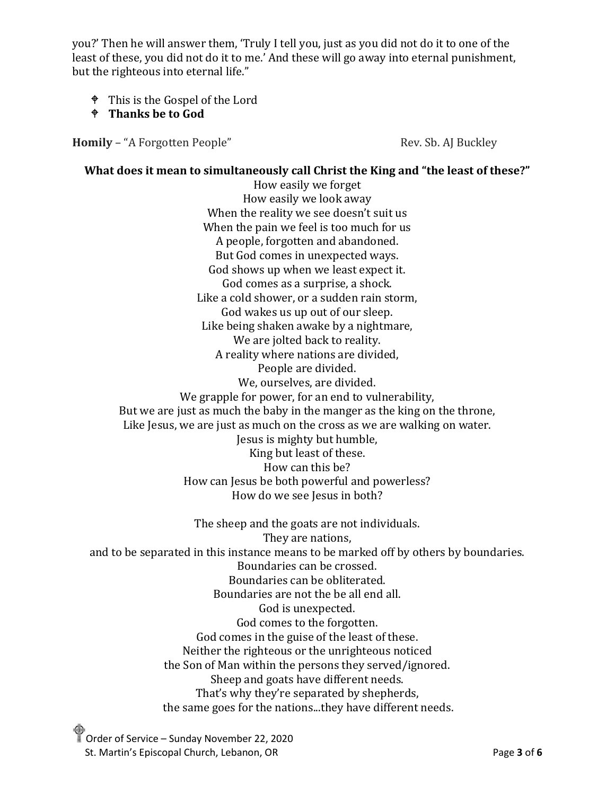you?' Then he will answer them, 'Truly I tell you, just as you did not do it to one of the least of these, you did not do it to me.' And these will go away into eternal punishment, but the righteous into eternal life."

- This is the Gospel of the Lord
- **Thanks be to God**

**Homily** – "A Forgotten People" Rev. Sb. AJ Buckley

#### **What does it mean to simultaneously call Christ the King and "the least of these?"**

How easily we forget How easily we look away When the reality we see doesn't suit us When the pain we feel is too much for us A people, forgotten and abandoned. But God comes in unexpected ways. God shows up when we least expect it. God comes as a surprise, a shock. Like a cold shower, or a sudden rain storm, God wakes us up out of our sleep. Like being shaken awake by a nightmare, We are jolted back to reality. A reality where nations are divided, People are divided. We, ourselves, are divided. We grapple for power, for an end to vulnerability, But we are just as much the baby in the manger as the king on the throne, Like Jesus, we are just as much on the cross as we are walking on water. Jesus is mighty but humble, King but least of these. How can this be? How can Jesus be both powerful and powerless? How do we see Jesus in both? The sheep and the goats are not individuals. They are nations, and to be separated in this instance means to be marked off by others by boundaries. Boundaries can be crossed. Boundaries can be obliterated. Boundaries are not the be all end all. God is unexpected. God comes to the forgotten. God comes in the guise of the least of these. Neither the righteous or the unrighteous noticed the Son of Man within the persons they served/ignored. Sheep and goats have different needs. That's why they're separated by shepherds, the same goes for the nations...they have different needs.

Order of Service – Sunday November 22, 2020 St. Martin's Episcopal Church, Lebanon, OR **Page 3** of 6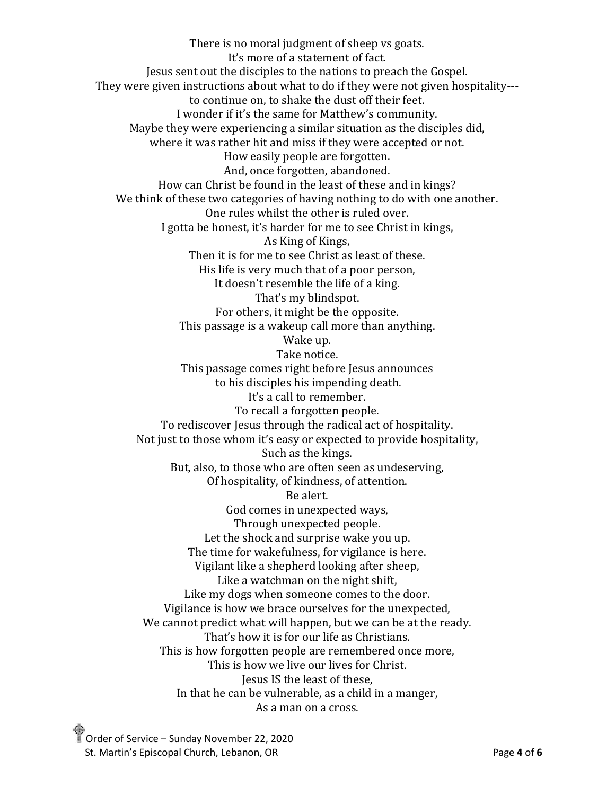There is no moral judgment of sheep vs goats. It's more of a statement of fact. Jesus sent out the disciples to the nations to preach the Gospel. They were given instructions about what to do if they were not given hospitality-- to continue on, to shake the dust off their feet. I wonder if it's the same for Matthew's community. Maybe they were experiencing a similar situation as the disciples did, where it was rather hit and miss if they were accepted or not. How easily people are forgotten. And, once forgotten, abandoned. How can Christ be found in the least of these and in kings? We think of these two categories of having nothing to do with one another. One rules whilst the other is ruled over. I gotta be honest, it's harder for me to see Christ in kings, As King of Kings, Then it is for me to see Christ as least of these. His life is very much that of a poor person, It doesn't resemble the life of a king. That's my blindspot. For others, it might be the opposite. This passage is a wakeup call more than anything. Wake up. Take notice. This passage comes right before Jesus announces to his disciples his impending death. It's a call to remember. To recall a forgotten people. To rediscover Jesus through the radical act of hospitality. Not just to those whom it's easy or expected to provide hospitality, Such as the kings. But, also, to those who are often seen as undeserving, Of hospitality, of kindness, of attention. Be alert. God comes in unexpected ways, Through unexpected people. Let the shock and surprise wake you up. The time for wakefulness, for vigilance is here. Vigilant like a shepherd looking after sheep, Like a watchman on the night shift, Like my dogs when someone comes to the door. Vigilance is how we brace ourselves for the unexpected, We cannot predict what will happen, but we can be at the ready. That's how it is for our life as Christians. This is how forgotten people are remembered once more, This is how we live our lives for Christ. Jesus IS the least of these, In that he can be vulnerable, as a child in a manger, As a man on a cross.

Order of Service – Sunday November 22, 2020 St. Martin's Episcopal Church, Lebanon, OR **Page 4** of 6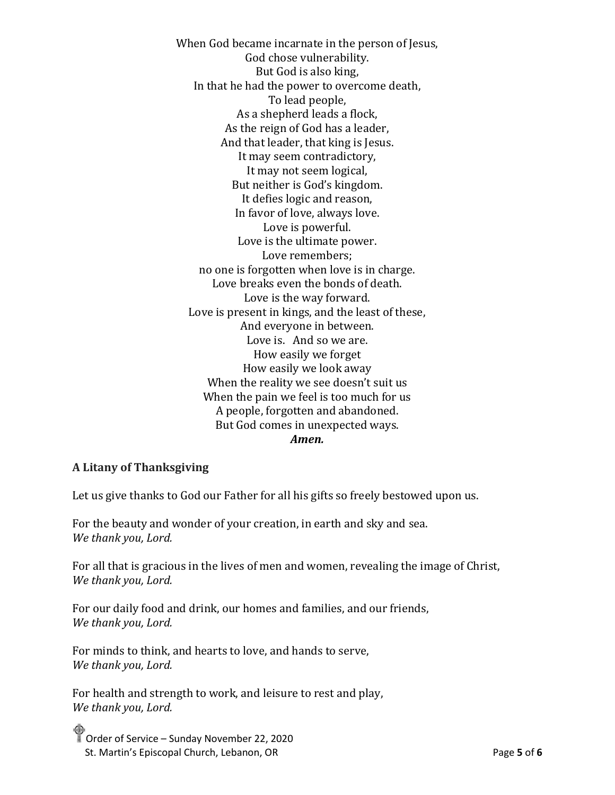When God became incarnate in the person of Jesus, God chose vulnerability. But God is also king, In that he had the power to overcome death, To lead people, As a shepherd leads a flock, As the reign of God has a leader, And that leader, that king is Jesus. It may seem contradictory, It may not seem logical, But neither is God's kingdom. It defies logic and reason, In favor of love, always love. Love is powerful. Love is the ultimate power. Love remembers; no one is forgotten when love is in charge. Love breaks even the bonds of death. Love is the way forward. Love is present in kings, and the least of these, And everyone in between. Love is. And so we are. How easily we forget How easily we look away When the reality we see doesn't suit us When the pain we feel is too much for us A people, forgotten and abandoned. But God comes in unexpected ways. *Amen.*

## **A Litany of Thanksgiving**

Let us give thanks to God our Father for all his gifts so freely bestowed upon us.

For the beauty and wonder of your creation, in earth and sky and sea. *We thank you, Lord.*

For all that is gracious in the lives of men and women, revealing the image of Christ, *We thank you, Lord.*

For our daily food and drink, our homes and families, and our friends, *We thank you, Lord.*

For minds to think, and hearts to love, and hands to serve, *We thank you, Lord.*

For health and strength to work, and leisure to rest and play, *We thank you, Lord.*

Order of Service – Sunday November 22, 2020 St. Martin's Episcopal Church, Lebanon, OR **Page 5** of 6